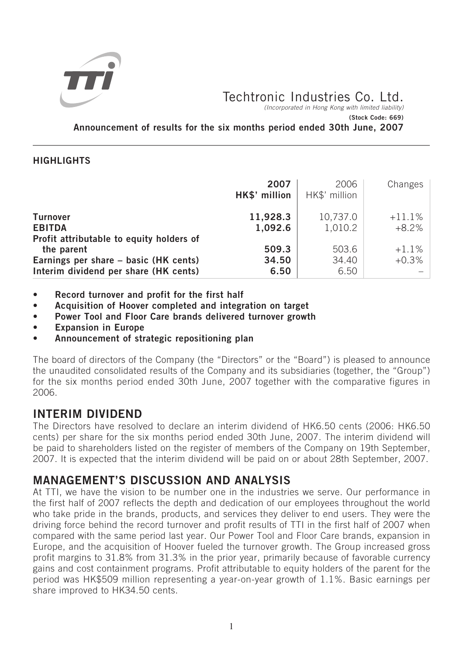

Techtronic Industries Co. Ltd.

(Incorporated in Hong Kong with limited liability) **(Stock Code: 669)**

**Announcement of results for the six months period ended 30th June, 2007**

## **HIGHLIGHTS**

|                                                                                              | 2007<br>HK\$' million  | 2006<br>HK\$' million  | Changes             |
|----------------------------------------------------------------------------------------------|------------------------|------------------------|---------------------|
| <b>Turnover</b><br><b>EBITDA</b><br>Profit attributable to equity holders of                 | 11,928.3<br>1,092.6    | 10,737.0<br>1,010.2    | $+11.1%$<br>$+8.2%$ |
| the parent<br>Earnings per share - basic (HK cents)<br>Interim dividend per share (HK cents) | 509.3<br>34.50<br>6.50 | 503.6<br>34.40<br>6.50 | $+1.1%$<br>$+0.3%$  |

- **Record turnover and profit for the first half**
- **Acquisition of Hoover completed and integration on target**
- **Power Tool and Floor Care brands delivered turnover growth**
- **Expansion in Europe**
- **Announcement of strategic repositioning plan**

The board of directors of the Company (the "Directors" or the "Board") is pleased to announce the unaudited consolidated results of the Company and its subsidiaries (together, the "Group") for the six months period ended 30th June, 2007 together with the comparative figures in 2006.

# **INTERIM DIVIDEND**

The Directors have resolved to declare an interim dividend of HK6.50 cents (2006: HK6.50 cents) per share for the six months period ended 30th June, 2007. The interim dividend will be paid to shareholders listed on the register of members of the Company on 19th September, 2007. It is expected that the interim dividend will be paid on or about 28th September, 2007.

# **MANAGEMENT'S DISCUSSION AND ANALYSIS**

At TTI, we have the vision to be number one in the industries we serve. Our performance in the first half of 2007 reflects the depth and dedication of our employees throughout the world who take pride in the brands, products, and services they deliver to end users. They were the driving force behind the record turnover and profit results of TTI in the first half of 2007 when compared with the same period last year. Our Power Tool and Floor Care brands, expansion in Europe, and the acquisition of Hoover fueled the turnover growth. The Group increased gross profit margins to 31.8% from 31.3% in the prior year, primarily because of favorable currency gains and cost containment programs. Profit attributable to equity holders of the parent for the period was HK\$509 million representing a year-on-year growth of 1.1%. Basic earnings per share improved to HK34.50 cents.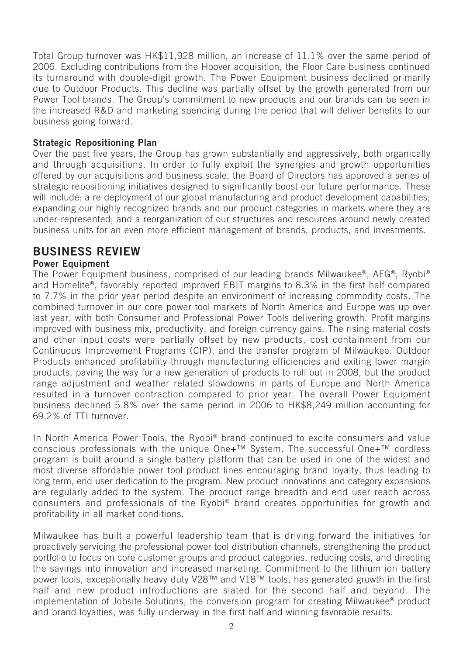Total Group turnover was HK\$11,928 million, an increase of 11.1% over the same period of 2006. Excluding contributions from the Hoover acquisition, the Floor Care business continued its turnaround with double-digit growth. The Power Equipment business declined primarily due to Outdoor Products. This decline was partially offset by the growth generated from our Power Tool brands. The Group's commitment to new products and our brands can be seen in the increased R&D and marketing spending during the period that will deliver benefits to our business going forward.

## **Strategic Repositioning Plan**

Over the past five years, the Group has grown substantially and aggressively, both organically and through acquisitions. In order to fully exploit the synergies and growth opportunities offered by our acquisitions and business scale, the Board of Directors has approved a series of strategic repositioning initiatives designed to significantly boost our future performance. These will include: a re-deployment of our global manufacturing and product development capabilities; expanding our highly recognized brands and our product categories in markets where they are under-represented; and a reorganization of our structures and resources around newly created business units for an even more efficient management of brands, products, and investments.

# **BUSINESS REVIEW**

## **Power Equipment**

The Power Equipment business, comprised of our leading brands Milwaukee®, AEG®, Ryobi® and Homelite®, favorably reported improved EBIT margins to 8.3% in the first half compared to 7.7% in the prior year period despite an environment of increasing commodity costs. The combined turnover in our core power tool markets of North America and Europe was up over last year, with both Consumer and Professional Power Tools delivering growth. Profit margins improved with business mix, productivity, and foreign currency gains. The rising material costs and other input costs were partially offset by new products, cost containment from our Continuous Improvement Programs (CIP), and the transfer program of Milwaukee. Outdoor Products enhanced profitability through manufacturing efficiencies and exiting lower margin products, paving the way for a new generation of products to roll out in 2008, but the product range adjustment and weather related slowdowns in parts of Europe and North America resulted in a turnover contraction compared to prior year. The overall Power Equipment business declined 5.8% over the same period in 2006 to HK\$8,249 million accounting for 69.2% of TTI turnover.

In North America Power Tools, the Ryobi<sup>®</sup> brand continued to excite consumers and value conscious professionals with the unique One+™ System. The successful One+™ cordless program is built around a single battery platform that can be used in one of the widest and most diverse affordable power tool product lines encouraging brand loyalty, thus leading to long term, end user dedication to the program. New product innovations and category expansions are regularly added to the system. The product range breadth and end user reach across consumers and professionals of the Ryobi® brand creates opportunities for growth and profitability in all market conditions.

Milwaukee has built a powerful leadership team that is driving forward the initiatives for proactively servicing the professional power tool distribution channels, strengthening the product portfolio to focus on core customer groups and product categories, reducing costs, and directing the savings into innovation and increased marketing. Commitment to the lithium ion battery power tools, exceptionally heavy duty V28™ and V18™ tools, has generated growth in the first half and new product introductions are slated for the second half and beyond. The implementation of Jobsite Solutions, the conversion program for creating Milwaukee® product and brand loyalties, was fully underway in the first half and winning favorable results.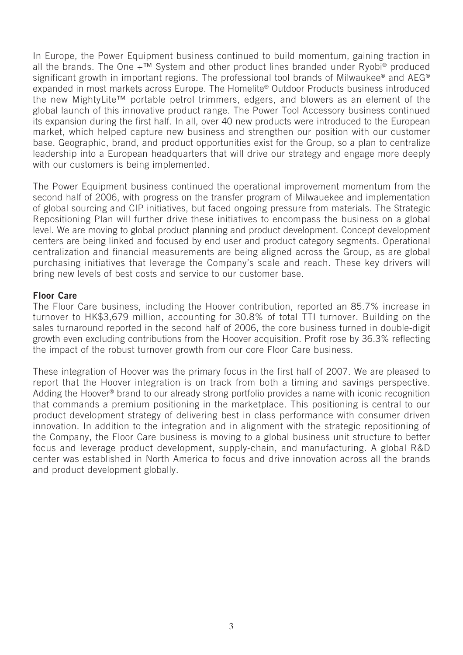In Europe, the Power Equipment business continued to build momentum, gaining traction in all the brands. The One  $+^{TM}$  System and other product lines branded under Ryobi® produced significant growth in important regions. The professional tool brands of Milwaukee® and AEG® expanded in most markets across Europe. The Homelite® Outdoor Products business introduced the new MightyLite™ portable petrol trimmers, edgers, and blowers as an element of the global launch of this innovative product range. The Power Tool Accessory business continued its expansion during the first half. In all, over 40 new products were introduced to the European market, which helped capture new business and strengthen our position with our customer base. Geographic, brand, and product opportunities exist for the Group, so a plan to centralize leadership into a European headquarters that will drive our strategy and engage more deeply with our customers is being implemented.

The Power Equipment business continued the operational improvement momentum from the second half of 2006, with progress on the transfer program of Milwauekee and implementation of global sourcing and CIP initiatives, but faced ongoing pressure from materials. The Strategic Repositioning Plan will further drive these initiatives to encompass the business on a global level. We are moving to global product planning and product development. Concept development centers are being linked and focused by end user and product category segments. Operational centralization and financial measurements are being aligned across the Group, as are global purchasing initiatives that leverage the Company's scale and reach. These key drivers will bring new levels of best costs and service to our customer base.

### **Floor Care**

The Floor Care business, including the Hoover contribution, reported an 85.7% increase in turnover to HK\$3,679 million, accounting for 30.8% of total TTI turnover. Building on the sales turnaround reported in the second half of 2006, the core business turned in double-digit growth even excluding contributions from the Hoover acquisition. Profit rose by 36.3% reflecting the impact of the robust turnover growth from our core Floor Care business.

These integration of Hoover was the primary focus in the first half of 2007. We are pleased to report that the Hoover integration is on track from both a timing and savings perspective. Adding the Hoover® brand to our already strong portfolio provides a name with iconic recognition that commands a premium positioning in the marketplace. This positioning is central to our product development strategy of delivering best in class performance with consumer driven innovation. In addition to the integration and in alignment with the strategic repositioning of the Company, the Floor Care business is moving to a global business unit structure to better focus and leverage product development, supply-chain, and manufacturing. A global R&D center was established in North America to focus and drive innovation across all the brands and product development globally.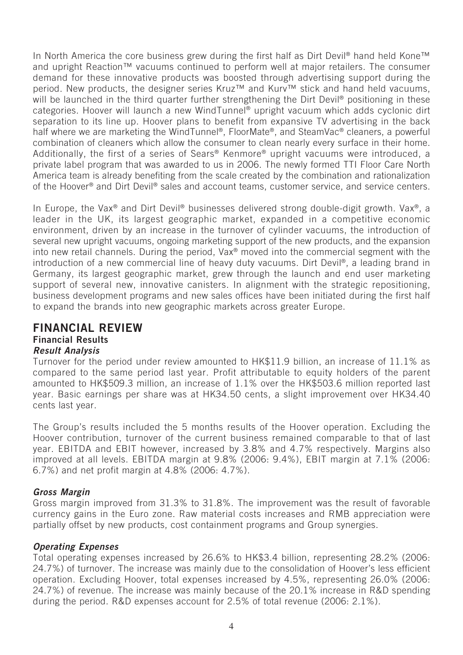In North America the core business grew during the first half as Dirt Devil® hand held Kone™ and upright Reaction<sup>™</sup> vacuums continued to perform well at major retailers. The consumer demand for these innovative products was boosted through advertising support during the period. New products, the designer series Kruz<sup>™</sup> and Kurv™ stick and hand held vacuums, will be launched in the third quarter further strengthening the Dirt Devil<sup>®</sup> positioning in these categories. Hoover will launch a new WindTunnel® upright vacuum which adds cyclonic dirt separation to its line up. Hoover plans to benefit from expansive TV advertising in the back half where we are marketing the WindTunnel®, FloorMate®, and SteamVac® cleaners, a powerful combination of cleaners which allow the consumer to clean nearly every surface in their home. Additionally, the first of a series of Sears® Kenmore® upright vacuums were introduced, a private label program that was awarded to us in 2006. The newly formed TTI Floor Care North America team is already benefiting from the scale created by the combination and rationalization of the Hoover<sup>®</sup> and Dirt Devil<sup>®</sup> sales and account teams, customer service, and service centers.

In Europe, the Vax<sup>®</sup> and Dirt Devil<sup>®</sup> businesses delivered strong double-digit growth. Vax<sup>®</sup>, a leader in the UK, its largest geographic market, expanded in a competitive economic environment, driven by an increase in the turnover of cylinder vacuums, the introduction of several new upright vacuums, ongoing marketing support of the new products, and the expansion into new retail channels. During the period, Vax® moved into the commercial segment with the introduction of a new commercial line of heavy duty vacuums. Dirt Devil®, a leading brand in Germany, its largest geographic market, grew through the launch and end user marketing support of several new, innovative canisters. In alignment with the strategic repositioning, business development programs and new sales offices have been initiated during the first half to expand the brands into new geographic markets across greater Europe.

# **FINANCIAL REVIEW Financial Results Result Analysis**

Turnover for the period under review amounted to HK\$11.9 billion, an increase of 11.1% as compared to the same period last year. Profit attributable to equity holders of the parent amounted to HK\$509.3 million, an increase of 1.1% over the HK\$503.6 million reported last year. Basic earnings per share was at HK34.50 cents, a slight improvement over HK34.40 cents last year.

The Group's results included the 5 months results of the Hoover operation. Excluding the Hoover contribution, turnover of the current business remained comparable to that of last year. EBITDA and EBIT however, increased by 3.8% and 4.7% respectively. Margins also improved at all levels. EBITDA margin at 9.8% (2006: 9.4%), EBIT margin at 7.1% (2006: 6.7%) and net profit margin at 4.8% (2006: 4.7%).

## **Gross Margin**

Gross margin improved from 31.3% to 31.8%. The improvement was the result of favorable currency gains in the Euro zone. Raw material costs increases and RMB appreciation were partially offset by new products, cost containment programs and Group synergies.

## **Operating Expenses**

Total operating expenses increased by 26.6% to HK\$3.4 billion, representing 28.2% (2006: 24.7%) of turnover. The increase was mainly due to the consolidation of Hoover's less efficient operation. Excluding Hoover, total expenses increased by 4.5%, representing 26.0% (2006: 24.7%) of revenue. The increase was mainly because of the 20.1% increase in R&D spending during the period. R&D expenses account for 2.5% of total revenue (2006: 2.1%).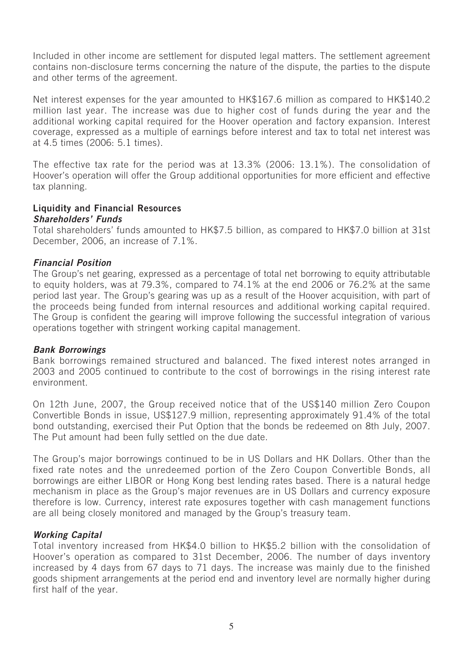Included in other income are settlement for disputed legal matters. The settlement agreement contains non-disclosure terms concerning the nature of the dispute, the parties to the dispute and other terms of the agreement.

Net interest expenses for the year amounted to HK\$167.6 million as compared to HK\$140.2 million last year. The increase was due to higher cost of funds during the year and the additional working capital required for the Hoover operation and factory expansion. Interest coverage, expressed as a multiple of earnings before interest and tax to total net interest was at 4.5 times (2006: 5.1 times).

The effective tax rate for the period was at 13.3% (2006: 13.1%). The consolidation of Hoover's operation will offer the Group additional opportunities for more efficient and effective tax planning.

## **Liquidity and Financial Resources**

### **Shareholders' Funds**

Total shareholders' funds amounted to HK\$7.5 billion, as compared to HK\$7.0 billion at 31st December, 2006, an increase of 7.1%.

### **Financial Position**

The Group's net gearing, expressed as a percentage of total net borrowing to equity attributable to equity holders, was at 79.3%, compared to 74.1% at the end 2006 or 76.2% at the same period last year. The Group's gearing was up as a result of the Hoover acquisition, with part of the proceeds being funded from internal resources and additional working capital required. The Group is confident the gearing will improve following the successful integration of various operations together with stringent working capital management.

### **Bank Borrowings**

Bank borrowings remained structured and balanced. The fixed interest notes arranged in 2003 and 2005 continued to contribute to the cost of borrowings in the rising interest rate environment.

On 12th June, 2007, the Group received notice that of the US\$140 million Zero Coupon Convertible Bonds in issue, US\$127.9 million, representing approximately 91.4% of the total bond outstanding, exercised their Put Option that the bonds be redeemed on 8th July, 2007. The Put amount had been fully settled on the due date.

The Group's major borrowings continued to be in US Dollars and HK Dollars. Other than the fixed rate notes and the unredeemed portion of the Zero Coupon Convertible Bonds, all borrowings are either LIBOR or Hong Kong best lending rates based. There is a natural hedge mechanism in place as the Group's major revenues are in US Dollars and currency exposure therefore is low. Currency, interest rate exposures together with cash management functions are all being closely monitored and managed by the Group's treasury team.

### **Working Capital**

Total inventory increased from HK\$4.0 billion to HK\$5.2 billion with the consolidation of Hoover's operation as compared to 31st December, 2006. The number of days inventory increased by 4 days from 67 days to 71 days. The increase was mainly due to the finished goods shipment arrangements at the period end and inventory level are normally higher during first half of the year.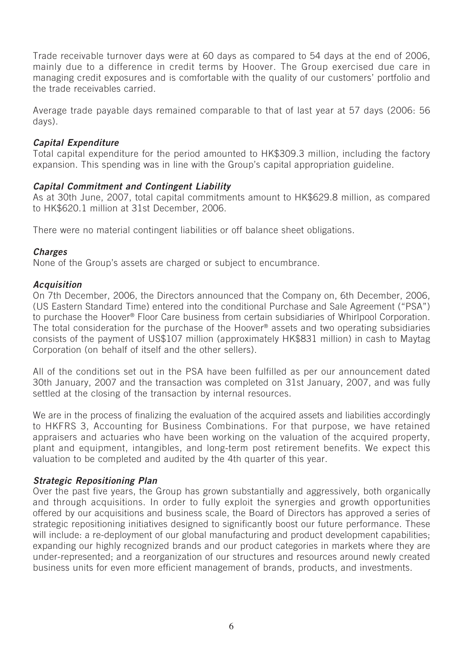Trade receivable turnover days were at 60 days as compared to 54 days at the end of 2006, mainly due to a difference in credit terms by Hoover. The Group exercised due care in managing credit exposures and is comfortable with the quality of our customers' portfolio and the trade receivables carried.

Average trade payable days remained comparable to that of last year at 57 days (2006: 56 days).

## **Capital Expenditure**

Total capital expenditure for the period amounted to HK\$309.3 million, including the factory expansion. This spending was in line with the Group's capital appropriation guideline.

### **Capital Commitment and Contingent Liability**

As at 30th June, 2007, total capital commitments amount to HK\$629.8 million, as compared to HK\$620.1 million at 31st December, 2006.

There were no material contingent liabilities or off balance sheet obligations.

### **Charges**

None of the Group's assets are charged or subject to encumbrance.

### **Acquisition**

On 7th December, 2006, the Directors announced that the Company on, 6th December, 2006, (US Eastern Standard Time) entered into the conditional Purchase and Sale Agreement ("PSA") to purchase the Hoover® Floor Care business from certain subsidiaries of Whirlpool Corporation. The total consideration for the purchase of the Hoover® assets and two operating subsidiaries consists of the payment of US\$107 million (approximately HK\$831 million) in cash to Maytag Corporation (on behalf of itself and the other sellers).

All of the conditions set out in the PSA have been fulfilled as per our announcement dated 30th January, 2007 and the transaction was completed on 31st January, 2007, and was fully settled at the closing of the transaction by internal resources.

We are in the process of finalizing the evaluation of the acquired assets and liabilities accordingly to HKFRS 3, Accounting for Business Combinations. For that purpose, we have retained appraisers and actuaries who have been working on the valuation of the acquired property, plant and equipment, intangibles, and long-term post retirement benefits. We expect this valuation to be completed and audited by the 4th quarter of this year.

### **Strategic Repositioning Plan**

Over the past five years, the Group has grown substantially and aggressively, both organically and through acquisitions. In order to fully exploit the synergies and growth opportunities offered by our acquisitions and business scale, the Board of Directors has approved a series of strategic repositioning initiatives designed to significantly boost our future performance. These will include: a re-deployment of our global manufacturing and product development capabilities; expanding our highly recognized brands and our product categories in markets where they are under-represented; and a reorganization of our structures and resources around newly created business units for even more efficient management of brands, products, and investments.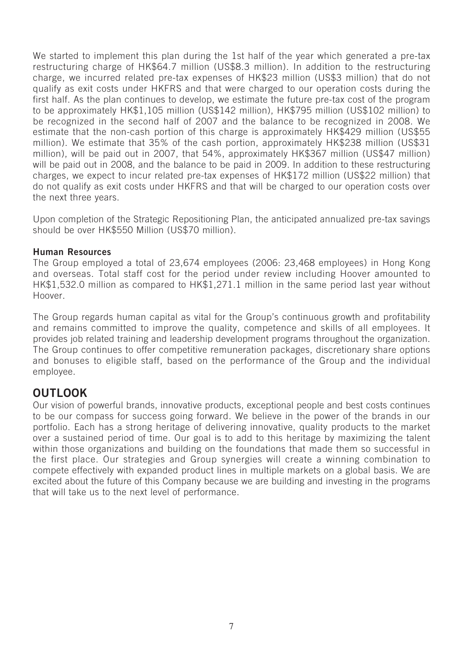We started to implement this plan during the 1st half of the year which generated a pre-tax restructuring charge of HK\$64.7 million (US\$8.3 million). In addition to the restructuring charge, we incurred related pre-tax expenses of HK\$23 million (US\$3 million) that do not qualify as exit costs under HKFRS and that were charged to our operation costs during the first half. As the plan continues to develop, we estimate the future pre-tax cost of the program to be approximately HK\$1,105 million (US\$142 million), HK\$795 million (US\$102 million) to be recognized in the second half of 2007 and the balance to be recognized in 2008. We estimate that the non-cash portion of this charge is approximately HK\$429 million (US\$55 million). We estimate that 35% of the cash portion, approximately HK\$238 million (US\$31 million), will be paid out in 2007, that 54%, approximately HK\$367 million (US\$47 million) will be paid out in 2008, and the balance to be paid in 2009. In addition to these restructuring charges, we expect to incur related pre-tax expenses of HK\$172 million (US\$22 million) that do not qualify as exit costs under HKFRS and that will be charged to our operation costs over the next three years.

Upon completion of the Strategic Repositioning Plan, the anticipated annualized pre-tax savings should be over HK\$550 Million (US\$70 million).

### **Human Resources**

The Group employed a total of 23,674 employees (2006: 23,468 employees) in Hong Kong and overseas. Total staff cost for the period under review including Hoover amounted to HK\$1,532.0 million as compared to HK\$1,271.1 million in the same period last year without Hoover.

The Group regards human capital as vital for the Group's continuous growth and profitability and remains committed to improve the quality, competence and skills of all employees. It provides job related training and leadership development programs throughout the organization. The Group continues to offer competitive remuneration packages, discretionary share options and bonuses to eligible staff, based on the performance of the Group and the individual employee.

# **OUTLOOK**

Our vision of powerful brands, innovative products, exceptional people and best costs continues to be our compass for success going forward. We believe in the power of the brands in our portfolio. Each has a strong heritage of delivering innovative, quality products to the market over a sustained period of time. Our goal is to add to this heritage by maximizing the talent within those organizations and building on the foundations that made them so successful in the first place. Our strategies and Group synergies will create a winning combination to compete effectively with expanded product lines in multiple markets on a global basis. We are excited about the future of this Company because we are building and investing in the programs that will take us to the next level of performance.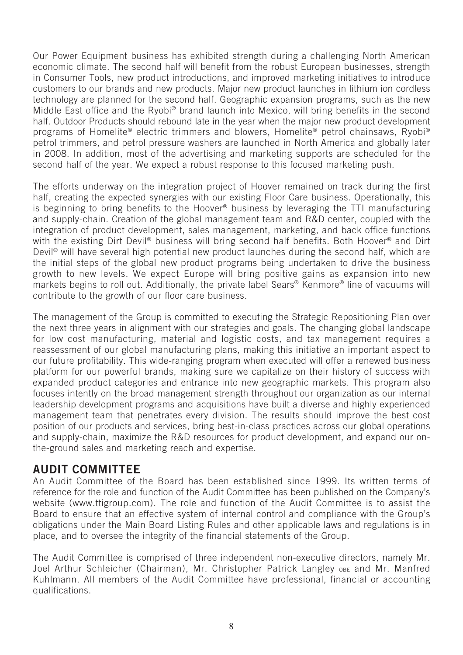Our Power Equipment business has exhibited strength during a challenging North American economic climate. The second half will benefit from the robust European businesses, strength in Consumer Tools, new product introductions, and improved marketing initiatives to introduce customers to our brands and new products. Major new product launches in lithium ion cordless technology are planned for the second half. Geographic expansion programs, such as the new Middle East office and the Ryobi® brand launch into Mexico, will bring benefits in the second half. Outdoor Products should rebound late in the year when the major new product development programs of Homelite® electric trimmers and blowers, Homelite® petrol chainsaws, Ryobi® petrol trimmers, and petrol pressure washers are launched in North America and globally later in 2008. In addition, most of the advertising and marketing supports are scheduled for the second half of the year. We expect a robust response to this focused marketing push.

The efforts underway on the integration project of Hoover remained on track during the first half, creating the expected synergies with our existing Floor Care business. Operationally, this is beginning to bring benefits to the Hoover® business by leveraging the TTI manufacturing and supply-chain. Creation of the global management team and R&D center, coupled with the integration of product development, sales management, marketing, and back office functions with the existing Dirt Devil<sup>®</sup> business will bring second half benefits. Both Hoover<sup>®</sup> and Dirt Devil® will have several high potential new product launches during the second half, which are the initial steps of the global new product programs being undertaken to drive the business growth to new levels. We expect Europe will bring positive gains as expansion into new markets begins to roll out. Additionally, the private label Sears® Kenmore® line of vacuums will contribute to the growth of our floor care business.

The management of the Group is committed to executing the Strategic Repositioning Plan over the next three years in alignment with our strategies and goals. The changing global landscape for low cost manufacturing, material and logistic costs, and tax management requires a reassessment of our global manufacturing plans, making this initiative an important aspect to our future profitability. This wide-ranging program when executed will offer a renewed business platform for our powerful brands, making sure we capitalize on their history of success with expanded product categories and entrance into new geographic markets. This program also focuses intently on the broad management strength throughout our organization as our internal leadership development programs and acquisitions have built a diverse and highly experienced management team that penetrates every division. The results should improve the best cost position of our products and services, bring best-in-class practices across our global operations and supply-chain, maximize the R&D resources for product development, and expand our onthe-ground sales and marketing reach and expertise.

# **AUDIT COMMITTEE**

An Audit Committee of the Board has been established since 1999. Its written terms of reference for the role and function of the Audit Committee has been published on the Company's website (www.ttigroup.com). The role and function of the Audit Committee is to assist the Board to ensure that an effective system of internal control and compliance with the Group's obligations under the Main Board Listing Rules and other applicable laws and regulations is in place, and to oversee the integrity of the financial statements of the Group.

The Audit Committee is comprised of three independent non-executive directors, namely Mr. Joel Arthur Schleicher (Chairman), Mr. Christopher Patrick Langley OBE and Mr. Manfred Kuhlmann. All members of the Audit Committee have professional, financial or accounting qualifications.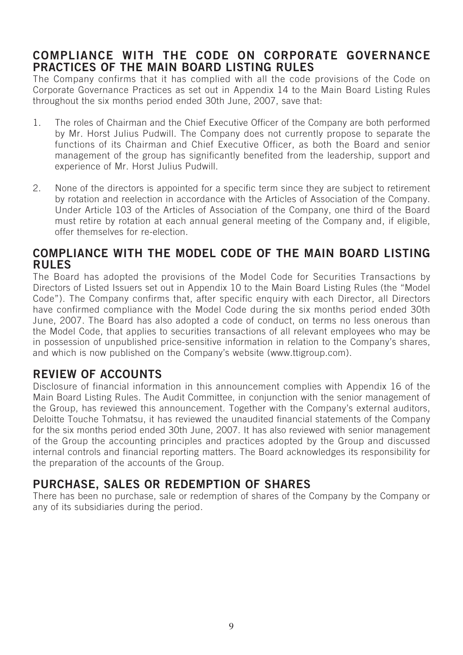# **COMPLIANCE WITH THE CODE ON CORPORATE GOVERNANCE PRACTICES OF THE MAIN BOARD LISTING RULES**

The Company confirms that it has complied with all the code provisions of the Code on Corporate Governance Practices as set out in Appendix 14 to the Main Board Listing Rules throughout the six months period ended 30th June, 2007, save that:

- 1. The roles of Chairman and the Chief Executive Officer of the Company are both performed by Mr. Horst Julius Pudwill. The Company does not currently propose to separate the functions of its Chairman and Chief Executive Officer, as both the Board and senior management of the group has significantly benefited from the leadership, support and experience of Mr. Horst Julius Pudwill.
- 2. None of the directors is appointed for a specific term since they are subject to retirement by rotation and reelection in accordance with the Articles of Association of the Company. Under Article 103 of the Articles of Association of the Company, one third of the Board must retire by rotation at each annual general meeting of the Company and, if eligible, offer themselves for re-election.

## **COMPLIANCE WITH THE MODEL CODE OF THE MAIN BOARD LISTING RULES**

The Board has adopted the provisions of the Model Code for Securities Transactions by Directors of Listed Issuers set out in Appendix 10 to the Main Board Listing Rules (the "Model Code"). The Company confirms that, after specific enquiry with each Director, all Directors have confirmed compliance with the Model Code during the six months period ended 30th June, 2007. The Board has also adopted a code of conduct, on terms no less onerous than the Model Code, that applies to securities transactions of all relevant employees who may be in possession of unpublished price-sensitive information in relation to the Company's shares, and which is now published on the Company's website (www.ttigroup.com).

# **REVIEW OF ACCOUNTS**

Disclosure of financial information in this announcement complies with Appendix 16 of the Main Board Listing Rules. The Audit Committee, in conjunction with the senior management of the Group, has reviewed this announcement. Together with the Company's external auditors, Deloitte Touche Tohmatsu, it has reviewed the unaudited financial statements of the Company for the six months period ended 30th June, 2007. It has also reviewed with senior management of the Group the accounting principles and practices adopted by the Group and discussed internal controls and financial reporting matters. The Board acknowledges its responsibility for the preparation of the accounts of the Group.

# **PURCHASE, SALES OR REDEMPTION OF SHARES**

There has been no purchase, sale or redemption of shares of the Company by the Company or any of its subsidiaries during the period.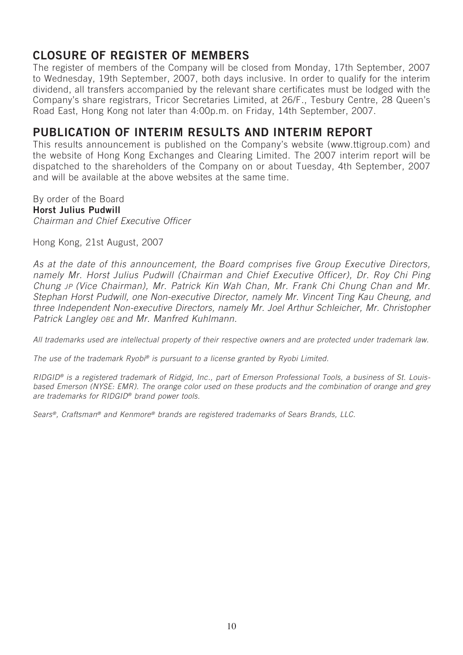# **CLOSURE OF REGISTER OF MEMBERS**

The register of members of the Company will be closed from Monday, 17th September, 2007 to Wednesday, 19th September, 2007, both days inclusive. In order to qualify for the interim dividend, all transfers accompanied by the relevant share certificates must be lodged with the Company's share registrars, Tricor Secretaries Limited, at 26/F., Tesbury Centre, 28 Queen's Road East, Hong Kong not later than 4:00p.m. on Friday, 14th September, 2007.

# **PUBLICATION OF INTERIM RESULTS AND INTERIM REPORT**

This results announcement is published on the Company's website (www.ttigroup.com) and the website of Hong Kong Exchanges and Clearing Limited. The 2007 interim report will be dispatched to the shareholders of the Company on or about Tuesday, 4th September, 2007 and will be available at the above websites at the same time.

By order of the Board **Horst Julius Pudwill** Chairman and Chief Executive Officer

Hong Kong, 21st August, 2007

As at the date of this announcement, the Board comprises five Group Executive Directors, namely Mr. Horst Julius Pudwill (Chairman and Chief Executive Officer), Dr. Roy Chi Ping Chung JP (Vice Chairman), Mr. Patrick Kin Wah Chan, Mr. Frank Chi Chung Chan and Mr. Stephan Horst Pudwill, one Non-executive Director, namely Mr. Vincent Ting Kau Cheung, and three Independent Non-executive Directors, namely Mr. Joel Arthur Schleicher, Mr. Christopher Patrick Langley OBE and Mr. Manfred Kuhlmann.

All trademarks used are intellectual property of their respective owners and are protected under trademark law.

The use of the trademark Ryobi® is pursuant to a license granted by Ryobi Limited.

RIDGID® is a registered trademark of Ridgid, Inc., part of Emerson Professional Tools, a business of St. Louisbased Emerson (NYSE: EMR). The orange color used on these products and the combination of orange and grey are trademarks for RIDGID® brand power tools.

Sears®, Craftsman® and Kenmore® brands are registered trademarks of Sears Brands, LLC.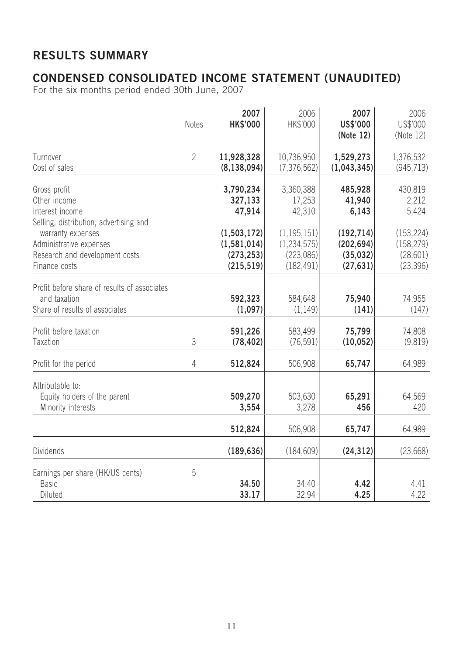# **RESULTS SUMMARY**

# **CONDENSED CONSOLIDATED INCOME STATEMENT (UNAUDITED)**

For the six months period ended 30th June, 2007

|                                                                                                 | <b>Notes</b>   | 2007<br><b>HK\$'000</b>                                    | 2006<br>HK\$'000                                          | 2007<br>US\$'000<br>(Note 12)                      | 2006<br>US\$'000<br>(Note 12)                      |
|-------------------------------------------------------------------------------------------------|----------------|------------------------------------------------------------|-----------------------------------------------------------|----------------------------------------------------|----------------------------------------------------|
| Turnover<br>Cost of sales                                                                       | $\overline{2}$ | 11,928,328<br>(8, 138, 094)                                | 10,736,950<br>(7, 376, 562)                               | 1,529,273<br>(1,043,345)                           | 1,376,532<br>(945, 713)                            |
| Gross profit<br>Other income<br>Interest income<br>Selling, distribution, advertising and       |                | 3,790,234<br>327,133<br>47,914                             | 3,360,388<br>17,253<br>42,310                             | 485,928<br>41,940<br>6,143                         | 430,819<br>2,212<br>5,424                          |
| warranty expenses<br>Administrative expenses<br>Research and development costs<br>Finance costs |                | (1, 503, 172)<br>(1, 581, 014)<br>(273, 253)<br>(215, 519) | (1, 195, 151)<br>(1, 234, 575)<br>(223,086)<br>(182, 491) | (192, 714)<br>(202, 694)<br>(35, 032)<br>(27, 631) | (153, 224)<br>(158, 279)<br>(28, 601)<br>(23, 396) |
| Profit before share of results of associates<br>and taxation<br>Share of results of associates  |                | 592,323<br>(1,097)                                         | 584,648<br>(1, 149)                                       | 75,940<br>(141)                                    | 74,955<br>(147)                                    |
| Profit before taxation<br>Taxation                                                              | 3              | 591,226<br>(78, 402)                                       | 583,499<br>(76, 591)                                      | 75,799<br>(10, 052)                                | 74,808<br>(9,819)                                  |
| Profit for the period                                                                           | 4              | 512,824                                                    | 506,908                                                   | 65,747                                             | 64,989                                             |
| Attributable to:<br>Equity holders of the parent<br>Minority interests                          |                | 509,270<br>3,554                                           | 503,630<br>3,278                                          | 65,291<br>456                                      | 64,569<br>420                                      |
|                                                                                                 |                | 512,824                                                    | 506,908                                                   | 65,747                                             | 64,989                                             |
| <b>Dividends</b>                                                                                |                | (189, 636)                                                 | (184, 609)                                                | (24, 312)                                          | (23, 668)                                          |
| Earnings per share (HK/US cents)<br><b>Basic</b><br>Diluted                                     | 5              | 34.50<br>33.17                                             | 34.40<br>32.94                                            | 4.42<br>4.25                                       | 4.41<br>4.22                                       |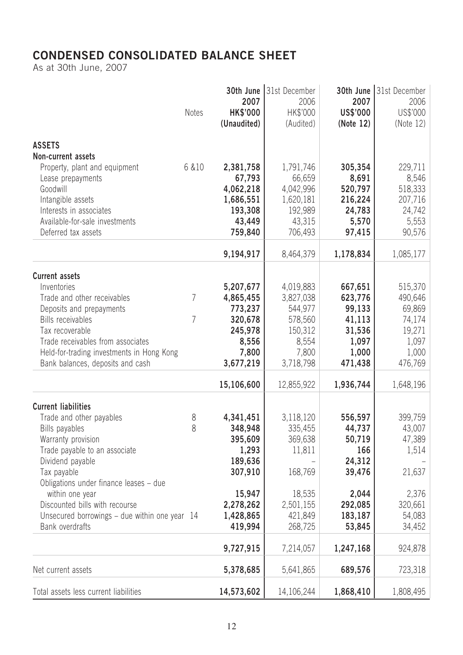# **CONDENSED CONSOLIDATED BALANCE SHEET**

As at 30th June, 2007

|                                                                                                                                                                                                                                                                                                                                       | <b>Notes</b> | 30th June<br>2007<br><b>HK\$'000</b><br>(Unaudited)                                                                        | 31st December<br>2006<br>HK\$'000<br>(Audited)                                                                 | 30th June<br>2007<br>US\$'000<br>(Note 12)                                                                   | 31st December<br>2006<br>US\$'000<br>(Note 12)                                                    |
|---------------------------------------------------------------------------------------------------------------------------------------------------------------------------------------------------------------------------------------------------------------------------------------------------------------------------------------|--------------|----------------------------------------------------------------------------------------------------------------------------|----------------------------------------------------------------------------------------------------------------|--------------------------------------------------------------------------------------------------------------|---------------------------------------------------------------------------------------------------|
| <b>ASSETS</b><br>Non-current assets                                                                                                                                                                                                                                                                                                   |              |                                                                                                                            |                                                                                                                |                                                                                                              |                                                                                                   |
| Property, plant and equipment<br>Lease prepayments<br>Goodwill<br>Intangible assets<br>Interests in associates<br>Available-for-sale investments<br>Deferred tax assets                                                                                                                                                               | 6 & 10       | 2,381,758<br>67,793<br>4,062,218<br>1,686,551<br>193,308<br>43,449<br>759,840                                              | 1,791,746<br>66,659<br>4,042,996<br>1,620,181<br>192,989<br>43,315<br>706,493                                  | 305,354<br>8,691<br>520,797<br>216,224<br>24,783<br>5,570<br>97,415                                          | 229,711<br>8,546<br>518,333<br>207,716<br>24,742<br>5,553<br>90,576                               |
|                                                                                                                                                                                                                                                                                                                                       |              | 9,194,917                                                                                                                  | 8,464,379                                                                                                      | 1,178,834                                                                                                    | 1,085,177                                                                                         |
| <b>Current assets</b><br>Inventories<br>Trade and other receivables<br>Deposits and prepayments<br><b>Bills receivables</b><br>Tax recoverable<br>Trade receivables from associates<br>Held-for-trading investments in Hong Kong<br>Bank balances, deposits and cash                                                                  | 7<br>7       | 5,207,677<br>4,865,455<br>773,237<br>320,678<br>245,978<br>8,556<br>7,800<br>3,677,219                                     | 4,019,883<br>3,827,038<br>544,977<br>578,560<br>150,312<br>8,554<br>7,800<br>3,718,798                         | 667,651<br>623,776<br>99,133<br>41,113<br>31,536<br>1,097<br>1,000<br>471,438                                | 515,370<br>490,646<br>69,869<br>74,174<br>19,271<br>1,097<br>1,000<br>476,769                     |
|                                                                                                                                                                                                                                                                                                                                       |              | 15,106,600                                                                                                                 | 12,855,922                                                                                                     | 1,936,744                                                                                                    | 1,648,196                                                                                         |
| <b>Current liabilities</b><br>Trade and other payables<br>Bills payables<br>Warranty provision<br>Trade payable to an associate<br>Dividend payable<br>Tax payable<br>Obligations under finance leases - due<br>within one year<br>Discounted bills with recourse<br>Unsecured borrowings – due within one year 14<br>Bank overdrafts | 8<br>8       | 4,341,451<br>348,948<br>395,609<br>1,293<br>189,636<br>307,910<br>15,947<br>2,278,262<br>1,428,865<br>419,994<br>9,727,915 | 3,118,120<br>335,455<br>369,638<br>11,811<br>168,769<br>18,535<br>2,501,155<br>421,849<br>268,725<br>7,214,057 | 556,597<br>44,737<br>50,719<br>166<br>24,312<br>39,476<br>2,044<br>292,085<br>183,187<br>53,845<br>1,247,168 | 399,759<br>43,007<br>47,389<br>1,514<br>21,637<br>2,376<br>320,661<br>54,083<br>34,452<br>924,878 |
| Net current assets                                                                                                                                                                                                                                                                                                                    |              | 5,378,685                                                                                                                  | 5,641,865                                                                                                      | 689,576                                                                                                      | 723,318                                                                                           |
| Total assets less current liabilities                                                                                                                                                                                                                                                                                                 |              | 14,573,602                                                                                                                 | 14,106,244                                                                                                     | 1,868,410                                                                                                    | 1,808,495                                                                                         |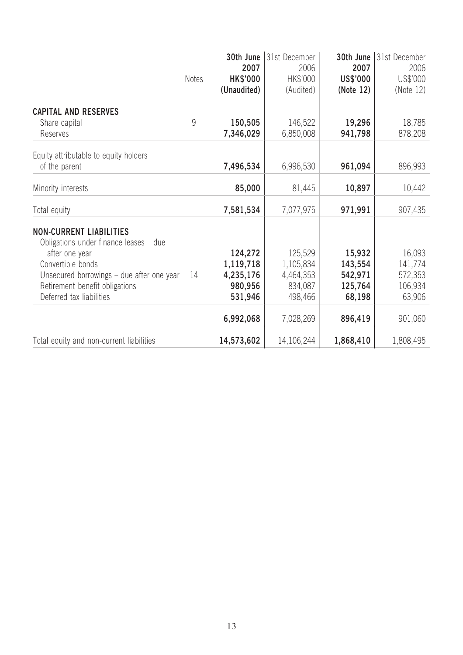|                                           |              | 30th June<br>2007              | 31st December<br>2006 | 30th June<br>2007     | 31st December<br>2006 |
|-------------------------------------------|--------------|--------------------------------|-----------------------|-----------------------|-----------------------|
|                                           | <b>Notes</b> | <b>HK\$'000</b><br>(Unaudited) | HK\$'000<br>(Audited) | US\$'000<br>(Note 12) | US\$'000<br>(Note 12) |
| <b>CAPITAL AND RESERVES</b>               |              |                                |                       |                       |                       |
| Share capital<br>Reserves                 | 9            | 150,505<br>7,346,029           | 146,522<br>6,850,008  | 19,296<br>941,798     | 18,785<br>878,208     |
| Equity attributable to equity holders     |              |                                |                       |                       |                       |
| of the parent                             |              | 7,496,534                      | 6,996,530             | 961,094               | 896,993               |
| Minority interests                        |              | 85,000                         | 81,445                | 10,897                | 10,442                |
| Total equity                              |              | 7,581,534                      | 7,077,975             | 971,991               | 907,435               |
| <b>NON-CURRENT LIABILITIES</b>            |              |                                |                       |                       |                       |
| Obligations under finance leases - due    |              |                                |                       |                       |                       |
| after one year<br>Convertible bonds       |              | 124,272<br>1,119,718           | 125,529<br>1,105,834  | 15,932<br>143,554     | 16,093<br>141,774     |
| Unsecured borrowings – due after one year | 14           | 4,235,176                      | 4,464,353             | 542,971               | 572,353               |
| Retirement benefit obligations            |              | 980,956                        | 834,087               | 125,764               | 106,934               |
| Deferred tax liabilities                  |              | 531,946                        | 498,466               | 68,198                | 63,906                |
|                                           |              | 6,992,068                      | 7,028,269             | 896,419               | 901,060               |
| Total equity and non-current liabilities  |              | 14,573,602                     | 14,106,244            | 1,868,410             | 1,808,495             |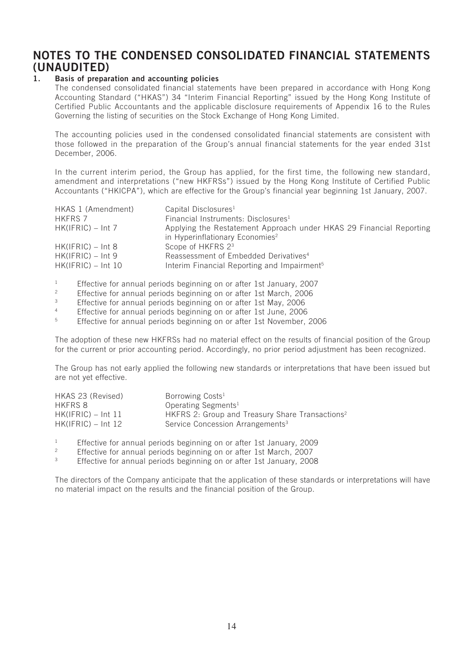# **NOTES TO THE CONDENSED CONSOLIDATED FINANCIAL STATEMENTS (UNAUDITED)**

#### **1. Basis of preparation and accounting policies**

The condensed consolidated financial statements have been prepared in accordance with Hong Kong Accounting Standard ("HKAS") 34 "Interim Financial Reporting" issued by the Hong Kong Institute of Certified Public Accountants and the applicable disclosure requirements of Appendix 16 to the Rules Governing the listing of securities on the Stock Exchange of Hong Kong Limited.

The accounting policies used in the condensed consolidated financial statements are consistent with those followed in the preparation of the Group's annual financial statements for the year ended 31st December, 2006.

In the current interim period, the Group has applied, for the first time, the following new standard, amendment and interpretations ("new HKFRSs") issued by the Hong Kong Institute of Certified Public Accountants ("HKICPA"), which are effective for the Group's financial year beginning 1st January, 2007.

| HKAS 1 (Amendment)   | Capital Disclosures <sup>1</sup>                                    |
|----------------------|---------------------------------------------------------------------|
| <b>HKFRS 7</b>       | Financial Instruments: Disclosures <sup>1</sup>                     |
| $HK(IFRIC) - Int 7$  | Applying the Restatement Approach under HKAS 29 Financial Reporting |
|                      | in Hyperinflationary Economies <sup>2</sup>                         |
| $HK(IFRIC) - Int 8$  | Scope of HKFRS 2 <sup>3</sup>                                       |
| $HK(IFRIC) - Int 9$  | Reassessment of Embedded Derivatives <sup>4</sup>                   |
| $HK(IFRIC) - Int 10$ | Interim Financial Reporting and Impairment <sup>5</sup>             |

<sup>1</sup> Effective for annual periods beginning on or after 1st January, 2007<br>Effective for annual periods beginning an ar after 1st March, 2006

- <sup>2</sup> Effective for annual periods beginning on or after 1st March, 2006<br> **Effective for annual periods beginning on or after 1st May 2006**
- <sup>3</sup><br>Effective for annual periods beginning on or after 1st May, 2006<br>Effective for annual periods beginning on or after 1st June, 2006
- <sup>4</sup> Effective for annual periods beginning on or after 1st June, 2006<br>Effective for annual periods beginning on or after 1st November
- <sup>5</sup> Effective for annual periods beginning on or after 1st November, 2006

The adoption of these new HKFRSs had no material effect on the results of financial position of the Group for the current or prior accounting period. Accordingly, no prior period adjustment has been recognized.

The Group has not early applied the following new standards or interpretations that have been issued but are not yet effective.

| HKAS 23 (Revised)    | Borrowing Costs <sup>1</sup>                                |
|----------------------|-------------------------------------------------------------|
| HKFRS 8              | Operating Segments <sup>1</sup>                             |
| $HK(IFRIC) - Int 11$ | HKFRS 2: Group and Treasury Share Transactions <sup>2</sup> |
| $HK(IFRIC) - Int 12$ | Service Concession Arrangements <sup>3</sup>                |

<sup>1</sup> Effective for annual periods beginning on or after 1st January, 2009

- <sup>2</sup> Effective for annual periods beginning on or after 1st March, 2007<br> **Effective for annual periods beginning on or ofter 1st January, 200**
- <sup>3</sup> Effective for annual periods beginning on or after 1st January, 2008

The directors of the Company anticipate that the application of these standards or interpretations will have no material impact on the results and the financial position of the Group.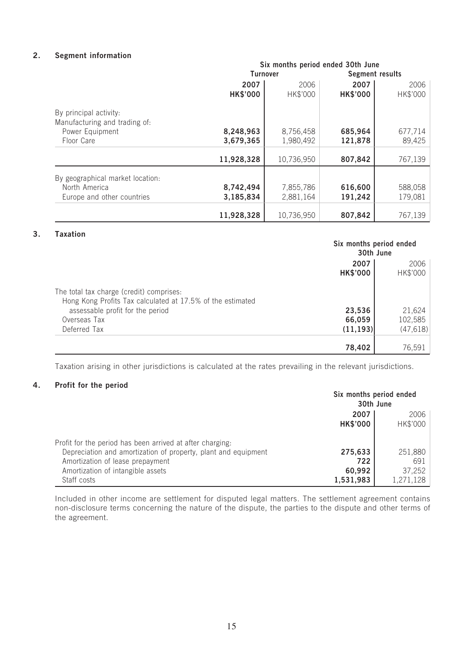### **2. Segment information**

|                                  |                 | Six months period ended 30th June |                 |          |
|----------------------------------|-----------------|-----------------------------------|-----------------|----------|
|                                  | <b>Turnover</b> |                                   | Segment results |          |
|                                  | 2007            | 2006                              | 2007            | 2006     |
|                                  | <b>HK\$'000</b> | HK\$'000                          | <b>HK\$'000</b> | HK\$'000 |
| By principal activity:           |                 |                                   |                 |          |
| Manufacturing and trading of:    |                 |                                   |                 |          |
| Power Equipment                  | 8,248,963       | 8,756,458                         | 685,964         | 677,714  |
| Floor Care                       | 3,679,365       | 1,980,492                         | 121,878         | 89,425   |
|                                  |                 |                                   |                 |          |
|                                  | 11,928,328      | 10,736,950                        | 807,842         | 767,139  |
| By geographical market location: |                 |                                   |                 |          |
| North America                    | 8,742,494       | 7,855,786                         | 616,600         | 588,058  |
| Europe and other countries       | 3,185,834       | 2,881,164                         | 191,242         | 179,081  |
|                                  |                 |                                   |                 |          |
|                                  | 11,928,328      | 10,736,950                        | 807,842         | 767,139  |
|                                  |                 |                                   |                 |          |

#### **3. Taxation**

|                                                                                                        | Six months period ended<br>30th June |           |
|--------------------------------------------------------------------------------------------------------|--------------------------------------|-----------|
|                                                                                                        | 2007<br>2006                         |           |
|                                                                                                        | <b>HK\$'000</b>                      | HK\$'000  |
| The total tax charge (credit) comprises:<br>Hong Kong Profits Tax calculated at 17.5% of the estimated |                                      |           |
| assessable profit for the period                                                                       | 23,536                               | 21,624    |
| Overseas Tax                                                                                           | 66,059                               | 102,585   |
| Deferred Tax                                                                                           | (11, 193)                            | (47, 618) |
|                                                                                                        | 78,402                               | 76,591    |

Taxation arising in other jurisdictions is calculated at the rates prevailing in the relevant jurisdictions.

#### **4. Profit for the period**

|                                                                | Six months period ended<br>30th June |                  |
|----------------------------------------------------------------|--------------------------------------|------------------|
|                                                                | 2007<br><b>HK\$'000</b>              | 2006<br>HK\$'000 |
| Profit for the period has been arrived at after charging.      |                                      |                  |
| Depreciation and amortization of property, plant and equipment | 275,633                              | 251,880          |
| Amortization of lease prepayment                               | 722                                  | 691              |
| Amortization of intangible assets                              | 60,992                               | 37,252           |
| Staff costs                                                    | 1,531,983                            | 1,271,128        |

Included in other income are settlement for disputed legal matters. The settlement agreement contains non-disclosure terms concerning the nature of the dispute, the parties to the dispute and other terms of the agreement.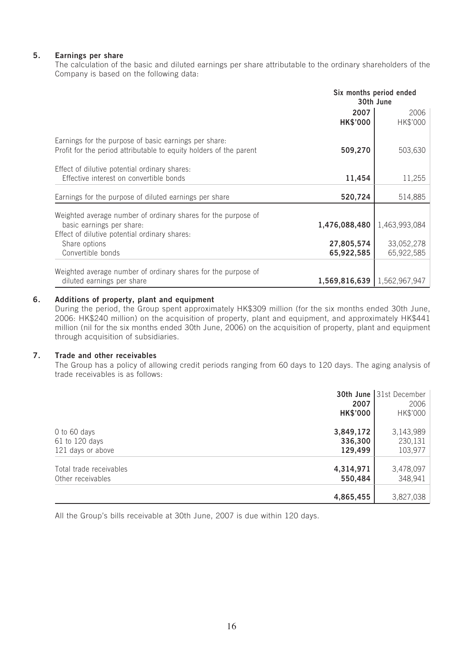### **5. Earnings per share**

The calculation of the basic and diluted earnings per share attributable to the ordinary shareholders of the Company is based on the following data:

|                                                                                                                                             | Six months period ended<br>30th June |                          |
|---------------------------------------------------------------------------------------------------------------------------------------------|--------------------------------------|--------------------------|
|                                                                                                                                             | 2007<br><b>HK\$'000</b>              | 2006<br>HK\$'000         |
| Earnings for the purpose of basic earnings per share:<br>Profit for the period attributable to equity holders of the parent                 | 509,270                              | 503,630                  |
| Effect of dilutive potential ordinary shares:<br>Effective interest on convertible bonds                                                    | 11,454                               | 11,255                   |
| Earnings for the purpose of diluted earnings per share                                                                                      | 520,724                              | 514,885                  |
| Weighted average number of ordinary shares for the purpose of<br>basic earnings per share:<br>Effect of dilutive potential ordinary shares: | 1,476,088,480                        | 1,463,993,084            |
| Share options<br>Convertible bonds                                                                                                          | 27,805,574<br>65,922,585             | 33,052,278<br>65,922,585 |
| Weighted average number of ordinary shares for the purpose of<br>diluted earnings per share                                                 | 1,569,816,639   1,562,967,947        |                          |

#### **6. Additions of property, plant and equipment**

During the period, the Group spent approximately HK\$309 million (for the six months ended 30th June, 2006: HK\$240 million) on the acquisition of property, plant and equipment, and approximately HK\$441 million (nil for the six months ended 30th June, 2006) on the acquisition of property, plant and equipment through acquisition of subsidiaries.

#### **7. Trade and other receivables**

The Group has a policy of allowing credit periods ranging from 60 days to 120 days. The aging analysis of trade receivables is as follows:

|                         | 2007<br><b>HK\$'000</b> | 30th June 31st December<br>2006<br>HK\$'000 |
|-------------------------|-------------------------|---------------------------------------------|
| 0 to 60 days            | 3,849,172               | 3,143,989                                   |
| 61 to 120 days          | 336,300                 | 230,131                                     |
| 121 days or above       | 129,499                 | 103,977                                     |
| Total trade receivables | 4,314,971               | 3,478,097                                   |
| Other receivables       | 550,484                 | 348,941                                     |
|                         | 4,865,455               | 3,827,038                                   |

All the Group's bills receivable at 30th June, 2007 is due within 120 days.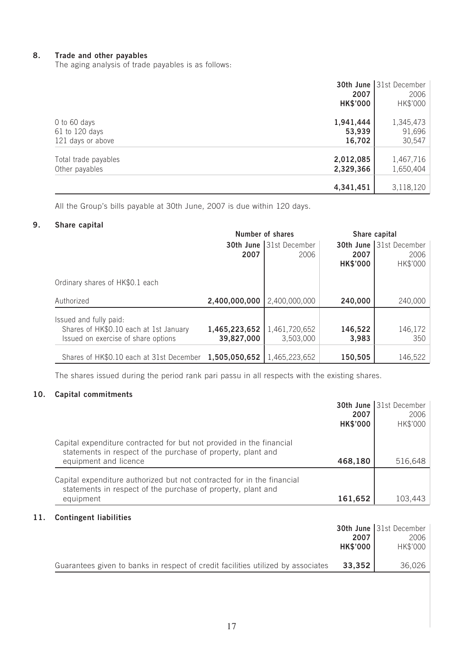#### **8. Trade and other payables**

The aging analysis of trade payables is as follows:

|                      | 2007<br><b>HK\$'000</b> | <b>30th June 31st December</b><br>2006<br>HK\$'000 |
|----------------------|-------------------------|----------------------------------------------------|
| 0 to 60 days         | 1,941,444               | 1,345,473                                          |
| 61 to 120 days       | 53,939                  | 91,696                                             |
| 121 days or above    | 16,702                  | 30,547                                             |
| Total trade payables | 2,012,085               | 1,467,716                                          |
| Other payables       | 2,329,366               | 1,650,404                                          |
|                      | 4,341,451               | 3,118,120                                          |

All the Group's bills payable at 30th June, 2007 is due within 120 days.

### **9. Share capital**

|                                          | Number of shares |                                | Share capital   |                                |
|------------------------------------------|------------------|--------------------------------|-----------------|--------------------------------|
|                                          |                  | <b>30th June 31st December</b> |                 | <b>30th June 31st December</b> |
|                                          | 2007             | 2006                           | 2007            | 2006                           |
|                                          |                  |                                | <b>HK\$'000</b> | HK\$'000                       |
| Ordinary shares of HK\$0.1 each          |                  |                                |                 |                                |
| Authorized                               | 2,400,000,000    | 2,400,000,000                  | 240,000         | 240,000                        |
| Issued and fully paid:                   |                  |                                |                 |                                |
| Shares of HK\$0.10 each at 1st January   | 1,465,223,652    | 1,461,720,652                  | 146,522         | 146,172                        |
| Issued on exercise of share options      | 39,827,000       | 3,503,000                      | 3,983           | 350                            |
|                                          |                  |                                |                 |                                |
| Shares of HK\$0.10 each at 31st December | 1,505,050,652    | 1,465,223,652                  | 150,505         | 146,522                        |

The shares issued during the period rank pari passu in all respects with the existing shares.

### **10. Capital commitments**

|                                                                                                                                                               | 2007<br><b>HK\$'000</b> | 30th June 31st December<br>2006<br>HK\$'000 |
|---------------------------------------------------------------------------------------------------------------------------------------------------------------|-------------------------|---------------------------------------------|
| Capital expenditure contracted for but not provided in the financial<br>statements in respect of the purchase of property, plant and<br>equipment and licence | 468,180                 | 516,648                                     |
| Capital expenditure authorized but not contracted for in the financial<br>statements in respect of the purchase of property, plant and<br>equipment           | 161,652                 | 103.443                                     |

### **11. Contingent liabilities**

|                                                                                  |                 | <b>30th June 31st December</b> |
|----------------------------------------------------------------------------------|-----------------|--------------------------------|
|                                                                                  | 2007            | 2006                           |
|                                                                                  | <b>HK\$'000</b> | HK\$'000                       |
|                                                                                  |                 |                                |
| Guarantees given to banks in respect of credit facilities utilized by associates | 33.352          | 36,026                         |